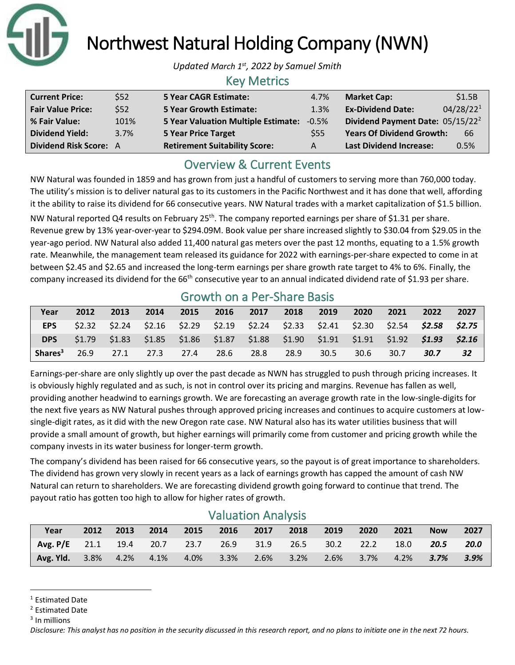

Northwest Natural Holding Company (NWN)

*Updated March 1 st, 2022 by Samuel Smith*

### Key Metrics

| <b>Current Price:</b>         | \$52 | <b>5 Year CAGR Estimate:</b>              | 4.7% | <b>Market Cap:</b>               | \$1.5B                |
|-------------------------------|------|-------------------------------------------|------|----------------------------------|-----------------------|
| <b>Fair Value Price:</b>      | \$52 | <b>5 Year Growth Estimate:</b>            | 1.3% | <b>Ex-Dividend Date:</b>         | 04/28/22 <sup>1</sup> |
| % Fair Value:                 | 101% | 5 Year Valuation Multiple Estimate: -0.5% |      | Dividend Payment Date: 05/15/22  |                       |
| <b>Dividend Yield:</b>        | 3.7% | <b>5 Year Price Target</b>                | \$55 | <b>Years Of Dividend Growth:</b> | 66                    |
| <b>Dividend Risk Score: A</b> |      | <b>Retirement Suitability Score:</b>      | A    | <b>Last Dividend Increase:</b>   | 0.5%                  |

### Overview & Current Events

NW Natural was founded in 1859 and has grown from just a handful of customers to serving more than 760,000 today. The utility's mission is to deliver natural gas to its customers in the Pacific Northwest and it has done that well, affording it the ability to raise its dividend for 66 consecutive years. NW Natural trades with a market capitalization of \$1.5 billion.

NW Natural reported Q4 results on February 25<sup>th</sup>. The company reported earnings per share of \$1.31 per share. Revenue grew by 13% year-over-year to \$294.09M. Book value per share increased slightly to \$30.04 from \$29.05 in the year-ago period. NW Natural also added 11,400 natural gas meters over the past 12 months, equating to a 1.5% growth rate. Meanwhile, the management team released its guidance for 2022 with earnings-per-share expected to come in at between \$2.45 and \$2.65 and increased the long-term earnings per share growth rate target to 4% to 6%. Finally, the company increased its dividend for the  $66<sup>th</sup>$  consecutive year to an annual indicated dividend rate of \$1.93 per share.

|                     |      |      |      |      |                | <b>OTOWELL OIL &amp; LICE DIRECT DRUGS</b>                                                      |      |      |      |      |      |      |
|---------------------|------|------|------|------|----------------|-------------------------------------------------------------------------------------------------|------|------|------|------|------|------|
| Year                | 2012 | 2013 | 2014 |      | 2015 2016 2017 |                                                                                                 | 2018 | 2019 | 2020 | 2021 | 2022 | 2027 |
| <b>EPS</b>          |      |      |      |      |                | $$2.32$ $$2.24$ $$2.16$ $$2.29$ $$2.19$ $$2.24$ $$2.33$ $$2.41$ $$2.30$ $$2.54$ $$2.58$ $$2.75$ |      |      |      |      |      |      |
| <b>DPS</b>          |      |      |      |      |                | $$1.79$ $$1.83$ $$1.85$ $$1.86$ $$1.87$ $$1.88$ $$1.90$ $$1.91$ $$1.91$ $$1.92$ $$1.93$ $$2.16$ |      |      |      |      |      |      |
| Shares <sup>3</sup> | 26.9 | 27.1 | 27.3 | 27.4 | 28.6           | 28.8                                                                                            | 28.9 | 30.5 | 30.6 | 30.7 | 30.7 | 32   |

### Growth on a Per-Share Basis

Earnings-per-share are only slightly up over the past decade as NWN has struggled to push through pricing increases. It is obviously highly regulated and as such, is not in control over its pricing and margins. Revenue has fallen as well, providing another headwind to earnings growth. We are forecasting an average growth rate in the low-single-digits for the next five years as NW Natural pushes through approved pricing increases and continues to acquire customers at lowsingle-digit rates, as it did with the new Oregon rate case. NW Natural also has its water utilities business that will provide a small amount of growth, but higher earnings will primarily come from customer and pricing growth while the company invests in its water business for longer-term growth.

The company's dividend has been raised for 66 consecutive years, so the payout is of great importance to shareholders. The dividend has grown very slowly in recent years as a lack of earnings growth has capped the amount of cash NW Natural can return to shareholders. We are forecasting dividend growth going forward to continue that trend. The payout ratio has gotten too high to allow for higher rates of growth.

| <b>VUIUULIUII AHUIYJIJ</b>                            |      |      |      |              |  |                |  |      |         |         |            |        |
|-------------------------------------------------------|------|------|------|--------------|--|----------------|--|------|---------|---------|------------|--------|
| Year                                                  | 2012 | 2013 | 2014 | 2015         |  | 2016 2017 2018 |  | 2019 | 2020    | 2021    | <b>Now</b> | 2027   |
| Avg. P/E 21.1 19.4 20.7 23.7 26.9 31.9 26.5 30.2 22.2 |      |      |      |              |  |                |  |      |         | 18.0    | 20.5       | 20.0   |
| Avg. Yld. 3.8% 4.2% 4.1%                              |      |      |      | $4.0\%$ 3.3% |  | 2.6% 3.2%      |  | 2.6% | $3.7\%$ | $4.2\%$ | $3.7\%$    | - 3.9% |

### Valuation Analysis

<sup>1</sup> Estimated Date

<sup>2</sup> Estimated Date

<sup>&</sup>lt;sup>3</sup> In millions

*Disclosure: This analyst has no position in the security discussed in this research report, and no plans to initiate one in the next 72 hours.*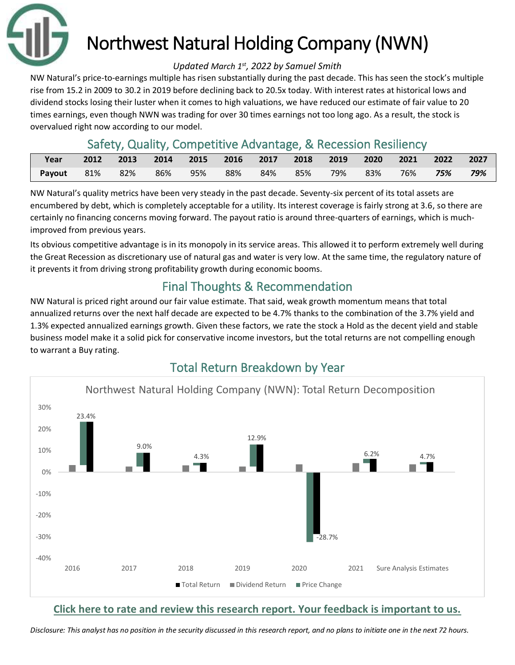

# Northwest Natural Holding Company (NWN)

#### *Updated March 1 st, 2022 by Samuel Smith*

NW Natural's price-to-earnings multiple has risen substantially during the past decade. This has seen the stock's multiple rise from 15.2 in 2009 to 30.2 in 2019 before declining back to 20.5x today. With interest rates at historical lows and dividend stocks losing their luster when it comes to high valuations, we have reduced our estimate of fair value to 20 times earnings, even though NWN was trading for over 30 times earnings not too long ago. As a result, the stock is overvalued right now according to our model.

### Safety, Quality, Competitive Advantage, & Recession Resiliency

| Year   | 2012 | 2013 | 2014 |     |     |       | 2015 2016 2017 2018 2019 |     | 2020 |        | 2021 2022 2027 |     |
|--------|------|------|------|-----|-----|-------|--------------------------|-----|------|--------|----------------|-----|
| Payout | 81%  | 82%  | 86%  | 95% | 88% | . 84% | 85%                      | 79% | 83%  | $76\%$ | 75%            | 79% |

NW Natural's quality metrics have been very steady in the past decade. Seventy-six percent of its total assets are encumbered by debt, which is completely acceptable for a utility. Its interest coverage is fairly strong at 3.6, so there are certainly no financing concerns moving forward. The payout ratio is around three-quarters of earnings, which is muchimproved from previous years.

Its obvious competitive advantage is in its monopoly in its service areas. This allowed it to perform extremely well during the Great Recession as discretionary use of natural gas and water is very low. At the same time, the regulatory nature of it prevents it from driving strong profitability growth during economic booms.

## Final Thoughts & Recommendation

NW Natural is priced right around our fair value estimate. That said, weak growth momentum means that total annualized returns over the next half decade are expected to be 4.7% thanks to the combination of the 3.7% yield and 1.3% expected annualized earnings growth. Given these factors, we rate the stock a Hold as the decent yield and stable business model make it a solid pick for conservative income investors, but the total returns are not compelling enough to warrant a Buy rating.



**[Click here to rate and review this research report. Your feedback is important to us.](https://suredividend.typeform.com/to/e7Q96E)**

*Disclosure: This analyst has no position in the security discussed in this research report, and no plans to initiate one in the next 72 hours.*